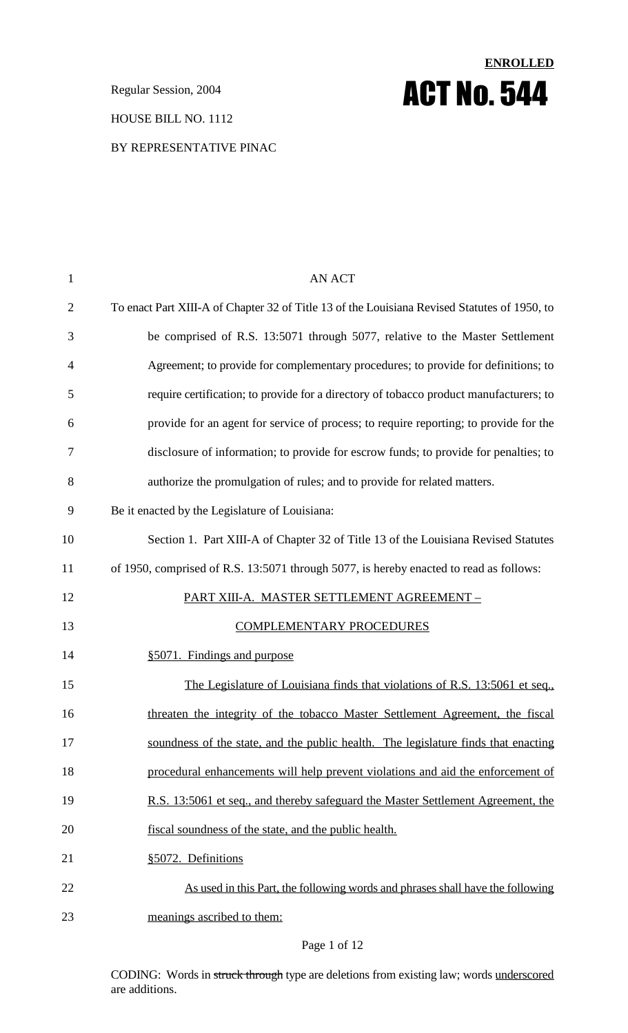Regular Session, 2004 **ACT NO. 544** 

#### HOUSE BILL NO. 1112

#### BY REPRESENTATIVE PINAC

| $\mathbf{1}$   | <b>AN ACT</b>                                                                                |
|----------------|----------------------------------------------------------------------------------------------|
| $\overline{2}$ | To enact Part XIII-A of Chapter 32 of Title 13 of the Louisiana Revised Statutes of 1950, to |
| 3              | be comprised of R.S. 13:5071 through 5077, relative to the Master Settlement                 |
| $\overline{4}$ | Agreement; to provide for complementary procedures; to provide for definitions; to           |
| 5              | require certification; to provide for a directory of tobacco product manufacturers; to       |
| 6              | provide for an agent for service of process; to require reporting; to provide for the        |
| 7              | disclosure of information; to provide for escrow funds; to provide for penalties; to         |
| 8              | authorize the promulgation of rules; and to provide for related matters.                     |
| 9              | Be it enacted by the Legislature of Louisiana:                                               |
| 10             | Section 1. Part XIII-A of Chapter 32 of Title 13 of the Louisiana Revised Statutes           |
| 11             | of 1950, comprised of R.S. 13:5071 through 5077, is hereby enacted to read as follows:       |
| 12             | <u> PART XIII-A. MASTER SETTLEMENT AGREEMENT – </u>                                          |
| 13             | <b>COMPLEMENTARY PROCEDURES</b>                                                              |
| 14             | §5071. Findings and purpose                                                                  |
| 15             | The Legislature of Louisiana finds that violations of R.S. 13:5061 et seq.,                  |
| 16             | threaten the integrity of the tobacco Master Settlement Agreement, the fiscal                |
| 17             | soundness of the state, and the public health. The legislature finds that enacting           |
| 18             | procedural enhancements will help prevent violations and aid the enforcement of              |
| 19             | R.S. 13:5061 et seq., and thereby safeguard the Master Settlement Agreement, the             |
| 20             | fiscal soundness of the state, and the public health.                                        |
| 21             | §5072. Definitions                                                                           |
| 22             | As used in this Part, the following words and phrases shall have the following               |
| 23             | meanings ascribed to them:                                                                   |

**ENROLLED**

#### Page 1 of 12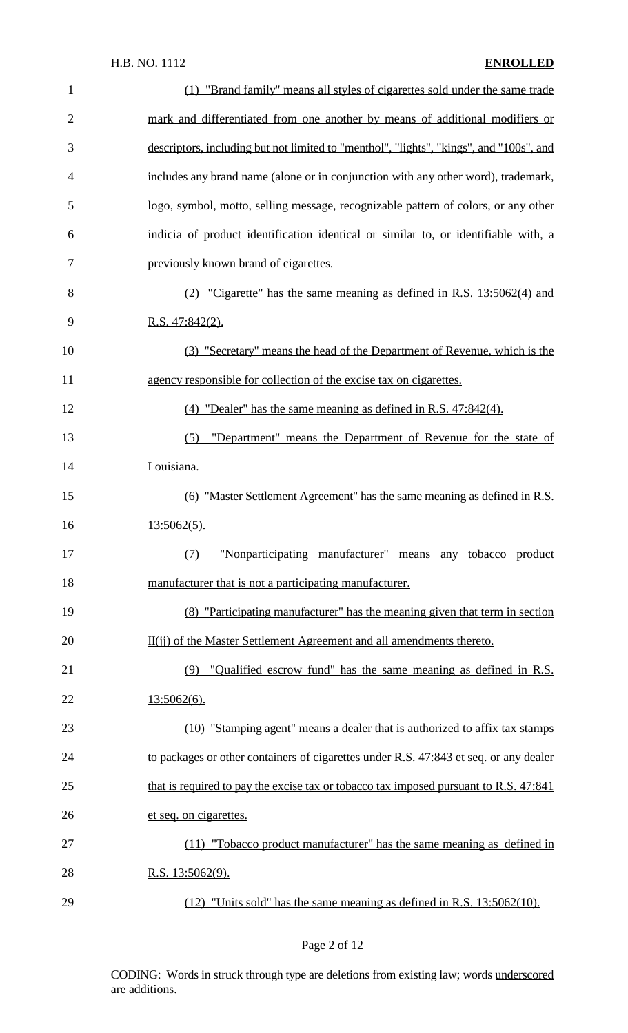| $\mathbf{1}$   | (1) "Brand family" means all styles of cigarettes sold under the same trade             |
|----------------|-----------------------------------------------------------------------------------------|
| $\overline{2}$ | mark and differentiated from one another by means of additional modifiers or            |
| 3              | descriptors, including but not limited to "menthol", "lights", "kings", and "100s", and |
| 4              | includes any brand name (alone or in conjunction with any other word), trademark,       |
| 5              | logo, symbol, motto, selling message, recognizable pattern of colors, or any other      |
| 6              | indicia of product identification identical or similar to, or identifiable with, a      |
| 7              | previously known brand of cigarettes.                                                   |
| 8              | (2) "Cigarette" has the same meaning as defined in R.S. 13:5062(4) and                  |
| 9              | R.S. $47:842(2)$ .                                                                      |
| 10             | (3) "Secretary" means the head of the Department of Revenue, which is the               |
| 11             | agency responsible for collection of the excise tax on cigarettes.                      |
| 12             | $(4)$ "Dealer" has the same meaning as defined in R.S. 47:842(4).                       |
| 13             | (5) "Department" means the Department of Revenue for the state of                       |
| 14             | Louisiana.                                                                              |
| 15             | (6) "Master Settlement Agreement" has the same meaning as defined in R.S.               |
| 16             | <u>13:5062(5).</u>                                                                      |
| 17             | "Nonparticipating manufacturer" means any tobacco product<br>(7)                        |
| 18             | manufacturer that is not a participating manufacturer.                                  |
| 19             | (8) "Participating manufacturer" has the meaning given that term in section             |
| 20             | II(ii) of the Master Settlement Agreement and all amendments thereto.                   |
| 21             | (9) "Qualified escrow fund" has the same meaning as defined in R.S.                     |
| 22             | $13:5062(6)$ .                                                                          |
| 23             | (10) "Stamping agent" means a dealer that is authorized to affix tax stamps             |
| 24             | to packages or other containers of cigarettes under R.S. 47:843 et seq. or any dealer   |
| 25             | that is required to pay the excise tax or tobacco tax imposed pursuant to R.S. 47:841   |
| 26             | et seq. on cigarettes.                                                                  |
| 27             | (11) "Tobacco product manufacturer" has the same meaning as defined in                  |
| 28             | R.S. $13:5062(9)$ .                                                                     |
| 29             | (12) "Units sold" has the same meaning as defined in R.S. 13:5062(10).                  |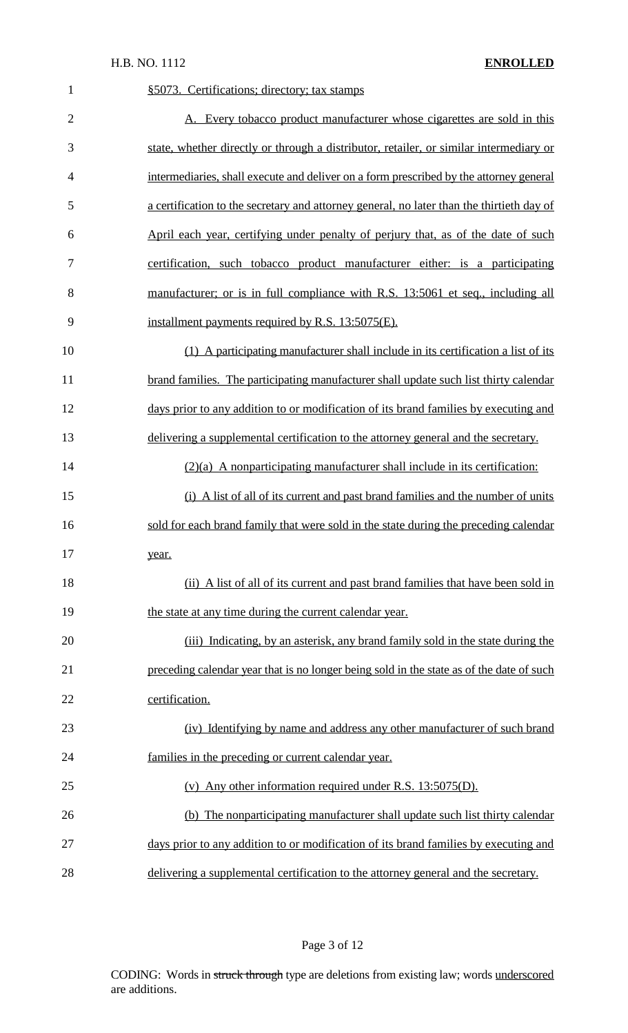| $\mathbf{1}$   | §5073. Certifications; directory; tax stamps                                              |
|----------------|-------------------------------------------------------------------------------------------|
| $\overline{2}$ | A. Every tobacco product manufacturer whose cigarettes are sold in this                   |
| 3              | state, whether directly or through a distributor, retailer, or similar intermediary or    |
| $\overline{4}$ | intermediaries, shall execute and deliver on a form prescribed by the attorney general    |
| 5              | a certification to the secretary and attorney general, no later than the thirtieth day of |
| 6              | April each year, certifying under penalty of perjury that, as of the date of such         |
| 7              | certification, such tobacco product manufacturer either: is a participating               |
| 8              | manufacturer; or is in full compliance with R.S. 13:5061 et seq., including all           |
| 9              | installment payments required by R.S. 13:5075(E).                                         |
| 10             | (1) A participating manufacturer shall include in its certification a list of its         |
| 11             | brand families. The participating manufacturer shall update such list thirty calendar     |
| 12             | days prior to any addition to or modification of its brand families by executing and      |
| 13             | delivering a supplemental certification to the attorney general and the secretary.        |
| 14             | (2)(a) A nonparticipating manufacturer shall include in its certification:                |
| 15             | (i) A list of all of its current and past brand families and the number of units          |
| 16             | sold for each brand family that were sold in the state during the preceding calendar      |
| 17             | year.                                                                                     |
| 18             | (ii) A list of all of its current and past brand families that have been sold in          |
| 19             | the state at any time during the current calendar year.                                   |
| 20             | (iii) Indicating, by an asterisk, any brand family sold in the state during the           |
| 21             | preceding calendar year that is no longer being sold in the state as of the date of such  |
| 22             | certification.                                                                            |
| 23             | (iv) Identifying by name and address any other manufacturer of such brand                 |
| 24             | families in the preceding or current calendar year.                                       |
| 25             | (v) Any other information required under R.S. $13:5075(D)$ .                              |
| 26             | (b) The nonparticipating manufacturer shall update such list thirty calendar              |
| 27             | days prior to any addition to or modification of its brand families by executing and      |
| 28             | delivering a supplemental certification to the attorney general and the secretary.        |

Page 3 of 12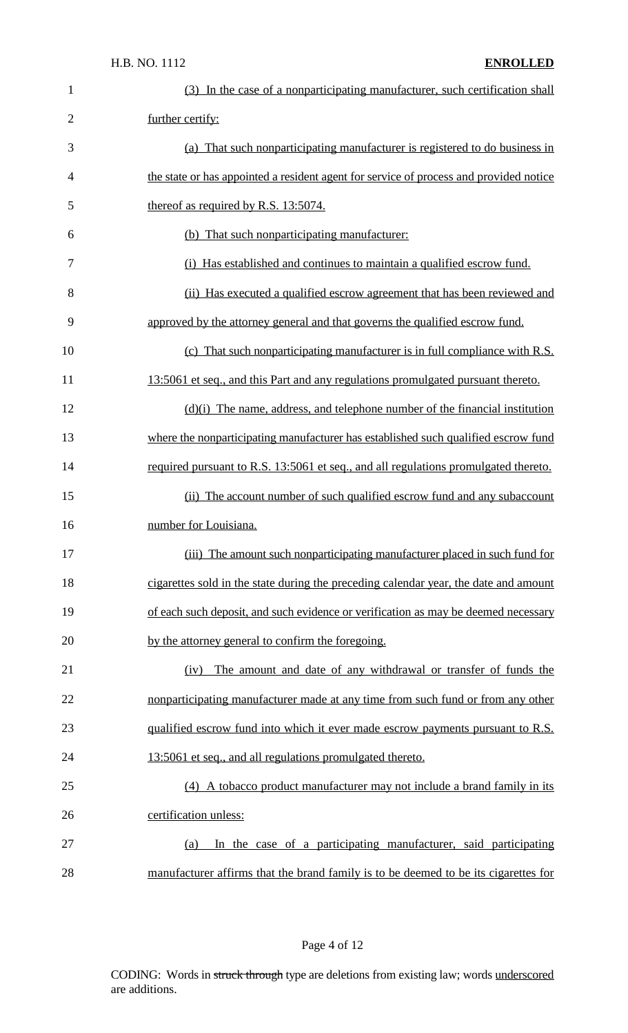| $\mathbf{1}$   | (3) In the case of a nonparticipating manufacturer, such certification shall           |
|----------------|----------------------------------------------------------------------------------------|
| $\overline{2}$ | further certify:                                                                       |
| 3              | (a) That such nonparticipating manufacturer is registered to do business in            |
| $\overline{4}$ | the state or has appointed a resident agent for service of process and provided notice |
| 5              | thereof as required by R.S. 13:5074.                                                   |
| 6              | (b) That such nonparticipating manufacturer:                                           |
| 7              | (i) Has established and continues to maintain a qualified escrow fund.                 |
| 8              | (ii) Has executed a qualified escrow agreement that has been reviewed and              |
| 9              | approved by the attorney general and that governs the qualified escrow fund.           |
| 10             | (c) That such nonparticipating manufacturer is in full compliance with R.S.            |
| 11             | 13:5061 et seq., and this Part and any regulations promulgated pursuant thereto.       |
| 12             | (d)(i) The name, address, and telephone number of the financial institution            |
| 13             | where the nonparticipating manufacturer has established such qualified escrow fund     |
| 14             | required pursuant to R.S. 13:5061 et seq., and all regulations promulgated thereto.    |
| 15             | (ii) The account number of such qualified escrow fund and any subaccount               |
| 16             | number for Louisiana.                                                                  |
| 17             | (iii) The amount such nonparticipating manufacturer placed in such fund for            |
| 18             | cigarettes sold in the state during the preceding calendar year, the date and amount   |
| 19             | of each such deposit, and such evidence or verification as may be deemed necessary     |
| 20             | by the attorney general to confirm the foregoing.                                      |
| 21             | The amount and date of any withdrawal or transfer of funds the<br>(iv)                 |
| 22             | nonparticipating manufacturer made at any time from such fund or from any other        |
| 23             | qualified escrow fund into which it ever made escrow payments pursuant to R.S.         |
| 24             | 13:5061 et seq., and all regulations promulgated thereto.                              |
| 25             | (4) A tobacco product manufacturer may not include a brand family in its               |
| 26             | certification unless:                                                                  |
| 27             | In the case of a participating manufacturer, said participating<br>(a)                 |
| 28             | manufacturer affirms that the brand family is to be deemed to be its cigarettes for    |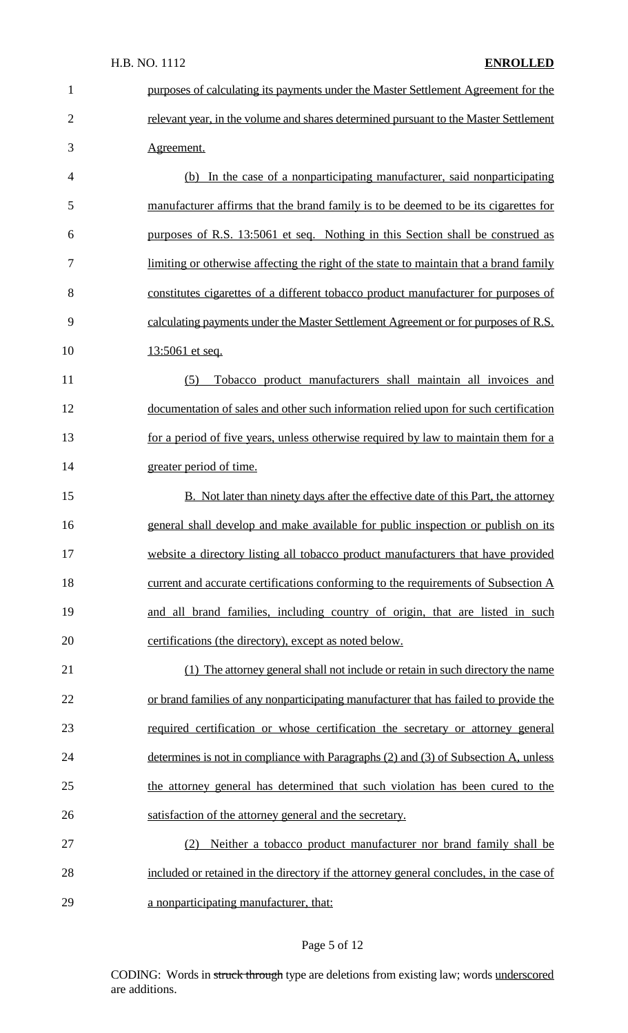| 1              | purposes of calculating its payments under the Master Settlement Agreement for the       |
|----------------|------------------------------------------------------------------------------------------|
| $\overline{2}$ | relevant year, in the volume and shares determined pursuant to the Master Settlement     |
| 3              | Agreement.                                                                               |
| $\overline{4}$ | (b) In the case of a nonparticipating manufacturer, said nonparticipating                |
| 5              | manufacturer affirms that the brand family is to be deemed to be its cigarettes for      |
| 6              | purposes of R.S. 13:5061 et seq. Nothing in this Section shall be construed as           |
| 7              | limiting or otherwise affecting the right of the state to maintain that a brand family   |
| 8              | constitutes cigarettes of a different tobacco product manufacturer for purposes of       |
| 9              | calculating payments under the Master Settlement Agreement or for purposes of R.S.       |
| 10             | 13:5061 et seq.                                                                          |
| 11             | Tobacco product manufacturers shall maintain all invoices and<br>(5)                     |
| 12             | documentation of sales and other such information relied upon for such certification     |
| 13             | for a period of five years, unless otherwise required by law to maintain them for a      |
| 14             | greater period of time.                                                                  |
| 15             | <b>B.</b> Not later than ninety days after the effective date of this Part, the attorney |
| 16             | general shall develop and make available for public inspection or publish on its         |
| 17             | website a directory listing all tobacco product manufacturers that have provided         |
| 18             | current and accurate certifications conforming to the requirements of Subsection A       |
| 19             | and all brand families, including country of origin, that are listed in such             |
| 20             | certifications (the directory), except as noted below.                                   |
| 21             | (1) The attorney general shall not include or retain in such directory the name          |
| 22             | or brand families of any nonparticipating manufacturer that has failed to provide the    |
| 23             | required certification or whose certification the secretary or attorney general          |
| 24             | determines is not in compliance with Paragraphs (2) and (3) of Subsection A, unless      |
| 25             | the attorney general has determined that such violation has been cured to the            |
| 26             | satisfaction of the attorney general and the secretary.                                  |
| 27             | (2) Neither a tobacco product manufacturer nor brand family shall be                     |
| 28             | included or retained in the directory if the attorney general concludes, in the case of  |
| 29             | a nonparticipating manufacturer, that:                                                   |

# Page 5 of 12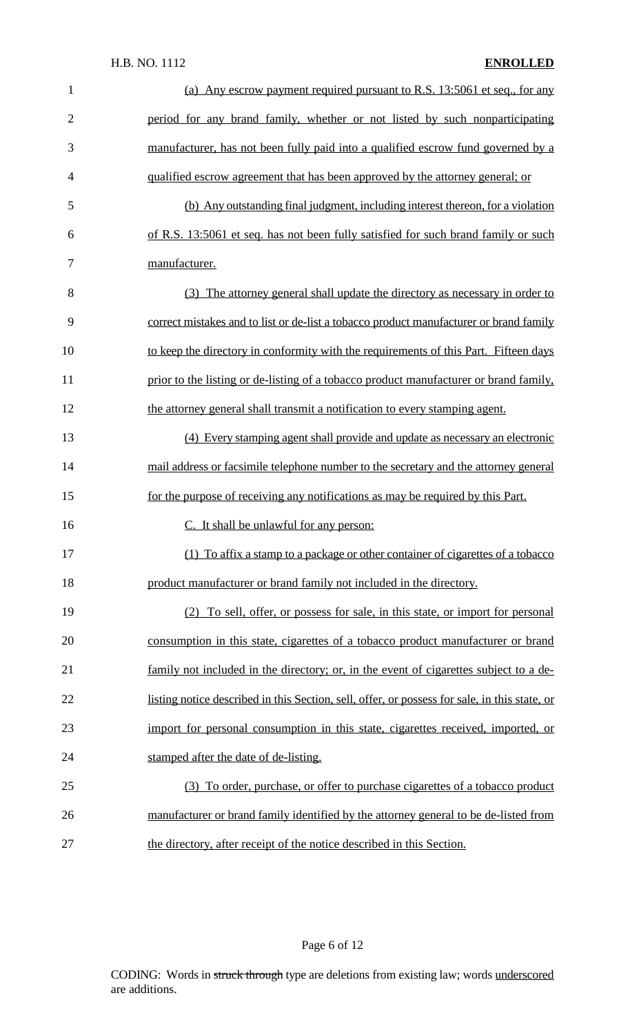| $\mathbf{1}$   | (a) Any escrow payment required pursuant to R.S. 13:5061 et seq., for any                     |
|----------------|-----------------------------------------------------------------------------------------------|
| $\overline{2}$ | period for any brand family, whether or not listed by such nonparticipating                   |
| 3              | manufacturer, has not been fully paid into a qualified escrow fund governed by a              |
| $\overline{4}$ | qualified escrow agreement that has been approved by the attorney general; or                 |
| 5              | (b) Any outstanding final judgment, including interest thereon, for a violation               |
| 6              | of R.S. 13:5061 et seq. has not been fully satisfied for such brand family or such            |
| 7              | manufacturer.                                                                                 |
| 8              | (3) The attorney general shall update the directory as necessary in order to                  |
| 9              | correct mistakes and to list or de-list a tobacco product manufacturer or brand family        |
| 10             | to keep the directory in conformity with the requirements of this Part. Fifteen days          |
| 11             | prior to the listing or de-listing of a tobacco product manufacturer or brand family.         |
| 12             | the attorney general shall transmit a notification to every stamping agent.                   |
| 13             | (4) Every stamping agent shall provide and update as necessary an electronic                  |
| 14             | mail address or facsimile telephone number to the secretary and the attorney general          |
| 15             | for the purpose of receiving any notifications as may be required by this Part.               |
| 16             | C. It shall be unlawful for any person:                                                       |
| 17             | (1) To affix a stamp to a package or other container of cigarettes of a tobacco               |
| 18             | product manufacturer or brand family not included in the directory.                           |
| 19             | (2) To sell, offer, or possess for sale, in this state, or import for personal                |
| 20             | consumption in this state, cigarettes of a tobacco product manufacturer or brand              |
| 21             | family not included in the directory; or, in the event of cigarettes subject to a de-         |
| 22             | listing notice described in this Section, sell, offer, or possess for sale, in this state, or |
| 23             | import for personal consumption in this state, cigarettes received, imported, or              |
| 24             | stamped after the date of de-listing.                                                         |
| 25             | (3) To order, purchase, or offer to purchase cigarettes of a tobacco product                  |
| 26             | manufacturer or brand family identified by the attorney general to be de-listed from          |
| 27             | the directory, after receipt of the notice described in this Section.                         |

# Page 6 of 12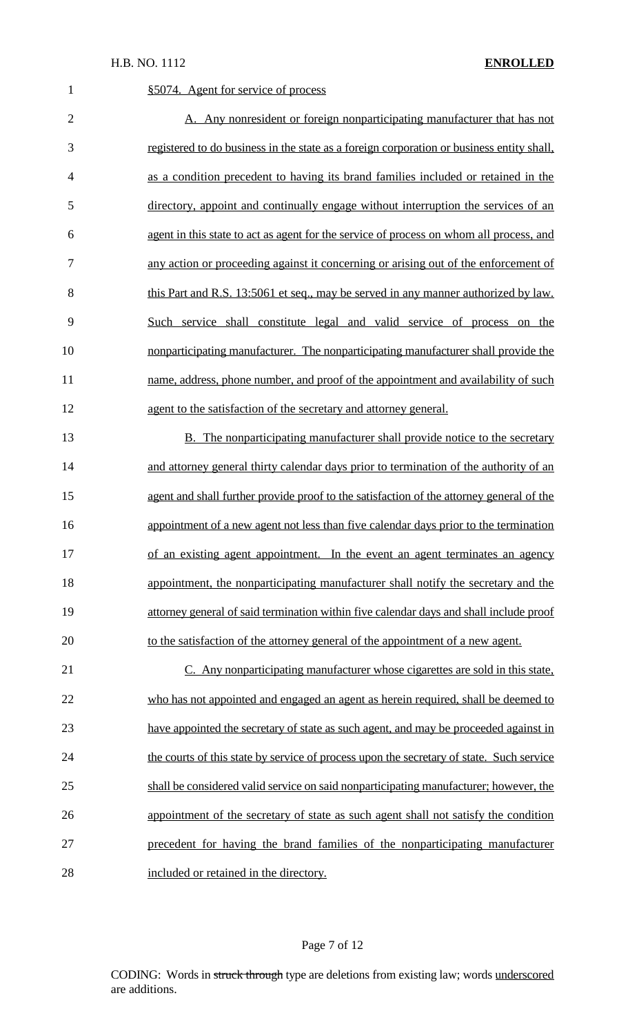| $\mathbf{1}$   | §5074. Agent for service of process                                                       |
|----------------|-------------------------------------------------------------------------------------------|
| $\overline{2}$ | A. Any nonresident or foreign nonparticipating manufacturer that has not                  |
| 3              | registered to do business in the state as a foreign corporation or business entity shall, |
| 4              | as a condition precedent to having its brand families included or retained in the         |
| 5              | directory, appoint and continually engage without interruption the services of an         |
| 6              | agent in this state to act as agent for the service of process on whom all process, and   |
| $\tau$         | any action or proceeding against it concerning or arising out of the enforcement of       |
| 8              | this Part and R.S. 13:5061 et seq., may be served in any manner authorized by law.        |
| 9              | Such service shall constitute legal and valid service of process on the                   |
| 10             | nonparticipating manufacturer. The nonparticipating manufacturer shall provide the        |
| 11             | name, address, phone number, and proof of the appointment and availability of such        |
| 12             | agent to the satisfaction of the secretary and attorney general.                          |
| 13             | <b>B.</b> The nonparticipating manufacturer shall provide notice to the secretary         |
| 14             | and attorney general thirty calendar days prior to termination of the authority of an     |
| 15             | agent and shall further provide proof to the satisfaction of the attorney general of the  |
| 16             | appointment of a new agent not less than five calendar days prior to the termination      |
| 17             | of an existing agent appointment. In the event an agent terminates an agency              |
| 18             | appointment, the nonparticipating manufacturer shall notify the secretary and the         |
| 19             | attorney general of said termination within five calendar days and shall include proof    |
| 20             | to the satisfaction of the attorney general of the appointment of a new agent.            |
| 21             | C. Any nonparticipating manufacturer whose cigarettes are sold in this state.             |
| 22             | who has not appointed and engaged an agent as herein required, shall be deemed to         |
| 23             | have appointed the secretary of state as such agent, and may be proceeded against in      |
| 24             | the courts of this state by service of process upon the secretary of state. Such service  |
| 25             | shall be considered valid service on said nonparticipating manufacturer; however, the     |
| 26             | appointment of the secretary of state as such agent shall not satisfy the condition       |
| 27             | precedent for having the brand families of the nonparticipating manufacturer              |
| 28             | included or retained in the directory.                                                    |

# Page 7 of 12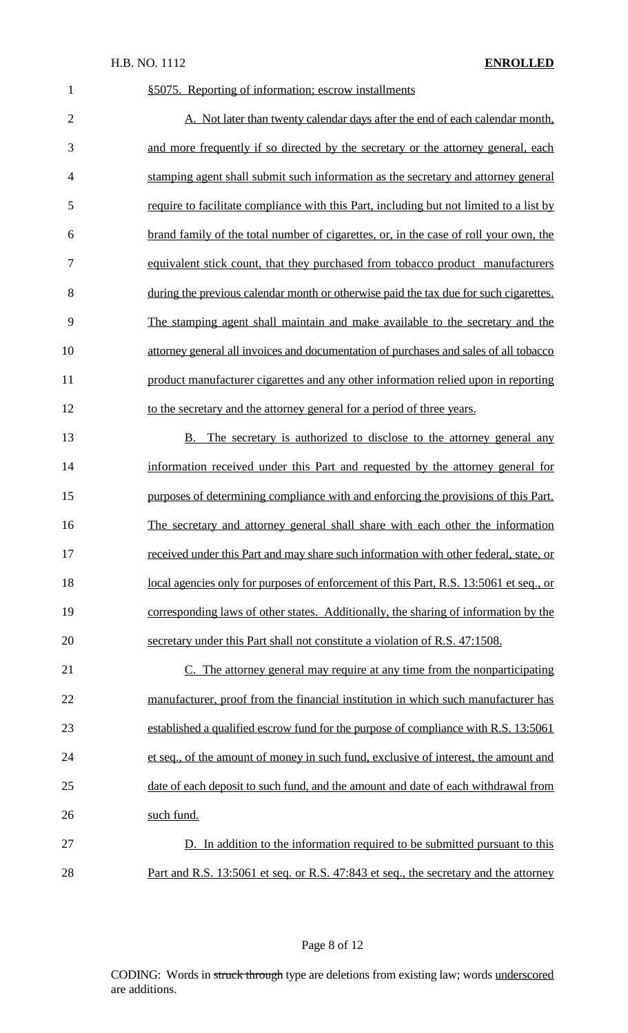| $\mathbf{1}$   | §5075. Reporting of information; escrow installments                                    |
|----------------|-----------------------------------------------------------------------------------------|
| $\mathbf{2}$   | A. Not later than twenty calendar days after the end of each calendar month,            |
| 3              | and more frequently if so directed by the secretary or the attorney general, each       |
| $\overline{4}$ | stamping agent shall submit such information as the secretary and attorney general      |
| 5              | require to facilitate compliance with this Part, including but not limited to a list by |
| 6              | brand family of the total number of cigarettes, or, in the case of roll your own, the   |
| 7              | equivalent stick count, that they purchased from tobacco product manufacturers          |
| 8              | during the previous calendar month or otherwise paid the tax due for such cigarettes.   |
| 9              | The stamping agent shall maintain and make available to the secretary and the           |
| 10             | attorney general all invoices and documentation of purchases and sales of all tobacco   |
| 11             | product manufacturer cigarettes and any other information relied upon in reporting      |
| 12             | to the secretary and the attorney general for a period of three years.                  |
| 13             | B. The secretary is authorized to disclose to the attorney general any                  |
| 14             | information received under this Part and requested by the attorney general for          |
| 15             | purposes of determining compliance with and enforcing the provisions of this Part.      |
| 16             | The secretary and attorney general shall share with each other the information          |
| 17             | received under this Part and may share such information with other federal, state, or   |
| 18             | local agencies only for purposes of enforcement of this Part, R.S. 13:5061 et seq., or  |
| 19             | corresponding laws of other states. Additionally, the sharing of information by the     |
| 20             | secretary under this Part shall not constitute a violation of R.S. 47:1508.             |
| 21             | C. The attorney general may require at any time from the nonparticipating               |
| 22             | manufacturer, proof from the financial institution in which such manufacturer has       |
| 23             | established a qualified escrow fund for the purpose of compliance with R.S. 13:5061     |
| 24             | et seq., of the amount of money in such fund, exclusive of interest, the amount and     |
| 25             | date of each deposit to such fund, and the amount and date of each withdrawal from      |
| 26             | such fund.                                                                              |
| 27             | D. In addition to the information required to be submitted pursuant to this             |
| 28             | Part and R.S. 13:5061 et seq. or R.S. 47:843 et seq., the secretary and the attorney    |

Page 8 of 12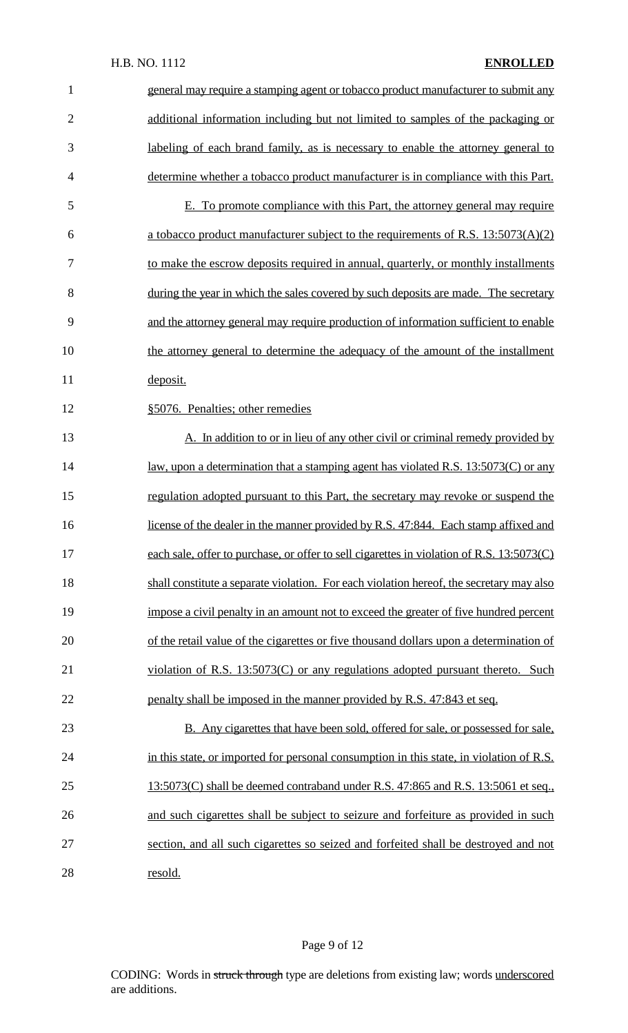| $\mathbf{1}$   | general may require a stamping agent or tobacco product manufacturer to submit any         |
|----------------|--------------------------------------------------------------------------------------------|
| $\overline{2}$ | additional information including but not limited to samples of the packaging or            |
| 3              | labeling of each brand family, as is necessary to enable the attorney general to           |
| $\overline{4}$ | determine whether a tobacco product manufacturer is in compliance with this Part.          |
| 5              | E. To promote compliance with this Part, the attorney general may require                  |
| 6              | a tobacco product manufacturer subject to the requirements of R.S. 13:5073(A)(2)           |
| 7              | to make the escrow deposits required in annual, quarterly, or monthly installments         |
| 8              | during the year in which the sales covered by such deposits are made. The secretary        |
| 9              | and the attorney general may require production of information sufficient to enable        |
| 10             | the attorney general to determine the adequacy of the amount of the installment            |
| 11             | deposit.                                                                                   |
| 12             | §5076. Penalties; other remedies                                                           |
| 13             | A. In addition to or in lieu of any other civil or criminal remedy provided by             |
| 14             | <u>law, upon a determination that a stamping agent has violated R.S. 13:5073(C) or any</u> |
| 15             | regulation adopted pursuant to this Part, the secretary may revoke or suspend the          |
| 16             | license of the dealer in the manner provided by R.S. 47:844. Each stamp affixed and        |
| 17             | each sale, offer to purchase, or offer to sell cigarettes in violation of R.S. 13:5073(C)  |
| 18             | shall constitute a separate violation. For each violation hereof, the secretary may also   |
| 19             | impose a civil penalty in an amount not to exceed the greater of five hundred percent      |
| 20             | of the retail value of the cigarettes or five thousand dollars upon a determination of     |
| 21             | violation of R.S. $13:5073(C)$ or any regulations adopted pursuant thereto. Such           |
| 22             | penalty shall be imposed in the manner provided by R.S. 47:843 et seq.                     |
| 23             | B. Any cigarettes that have been sold, offered for sale, or possessed for sale,            |
| 24             | in this state, or imported for personal consumption in this state, in violation of R.S.    |
| 25             | 13:5073(C) shall be deemed contraband under R.S. 47:865 and R.S. 13:5061 et seq.,          |
| 26             | and such cigarettes shall be subject to seizure and forfeiture as provided in such         |
| 27             | section, and all such cigarettes so seized and forfeited shall be destroyed and not        |
| 28             | resold.                                                                                    |

# Page 9 of 12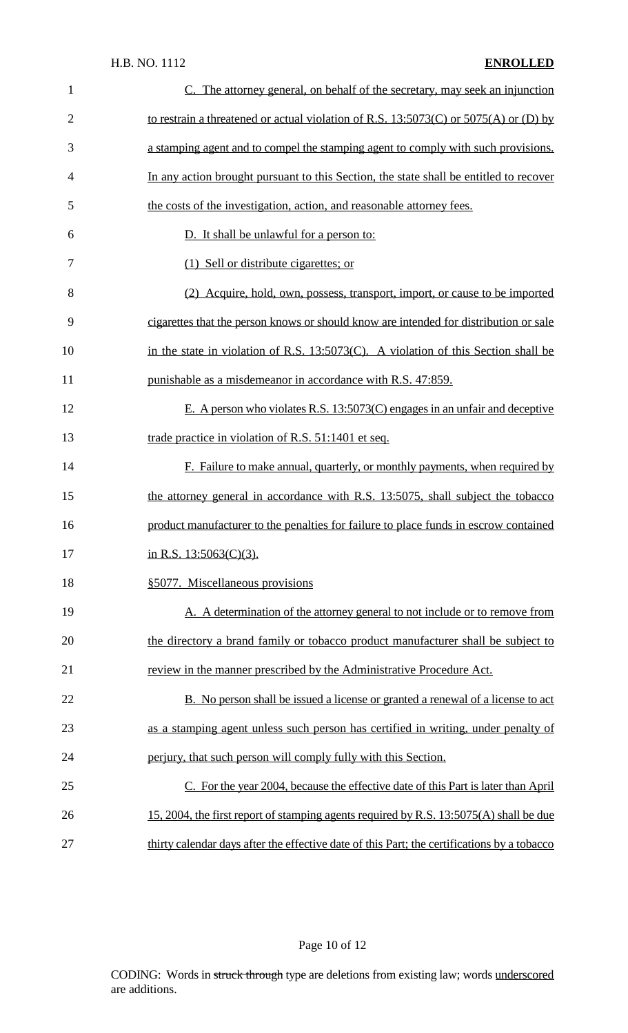| $\mathbf{1}$   | C. The attorney general, on behalf of the secretary, may seek an injunction                 |
|----------------|---------------------------------------------------------------------------------------------|
| $\overline{2}$ | to restrain a threatened or actual violation of R.S. $13:5073(C)$ or $5075(A)$ or (D) by    |
| 3              | a stamping agent and to compel the stamping agent to comply with such provisions.           |
| $\overline{4}$ | In any action brought pursuant to this Section, the state shall be entitled to recover      |
| 5              | the costs of the investigation, action, and reasonable attorney fees.                       |
| 6              | D. It shall be unlawful for a person to:                                                    |
| 7              | (1) Sell or distribute cigarettes; or                                                       |
| 8              | (2) Acquire, hold, own, possess, transport, import, or cause to be imported                 |
| 9              | cigarettes that the person knows or should know are intended for distribution or sale       |
| 10             | in the state in violation of R.S. 13:5073(C). A violation of this Section shall be          |
| 11             | punishable as a misdemeanor in accordance with R.S. 47:859.                                 |
| 12             | E. A person who violates R.S. 13:5073(C) engages in an unfair and deceptive                 |
| 13             | trade practice in violation of R.S. 51:1401 et seq.                                         |
| 14             | F. Failure to make annual, quarterly, or monthly payments, when required by                 |
| 15             | the attorney general in accordance with R.S. 13:5075, shall subject the tobacco             |
| 16             | product manufacturer to the penalties for failure to place funds in escrow contained        |
| 17             | in R.S. $13:5063(C)(3)$ .                                                                   |
| 18             | §5077. Miscellaneous provisions                                                             |
| 19             | A. A determination of the attorney general to not include or to remove from                 |
| 20             | the directory a brand family or tobacco product manufacturer shall be subject to            |
| 21             | review in the manner prescribed by the Administrative Procedure Act.                        |
| 22             | <b>B.</b> No person shall be issued a license or granted a renewal of a license to act      |
| 23             | as a stamping agent unless such person has certified in writing, under penalty of           |
| 24             | perjury, that such person will comply fully with this Section.                              |
| 25             | C. For the year 2004, because the effective date of this Part is later than April           |
| 26             | 15, 2004, the first report of stamping agents required by R.S. 13:5075(A) shall be due      |
| 27             | thirty calendar days after the effective date of this Part; the certifications by a tobacco |

# Page 10 of 12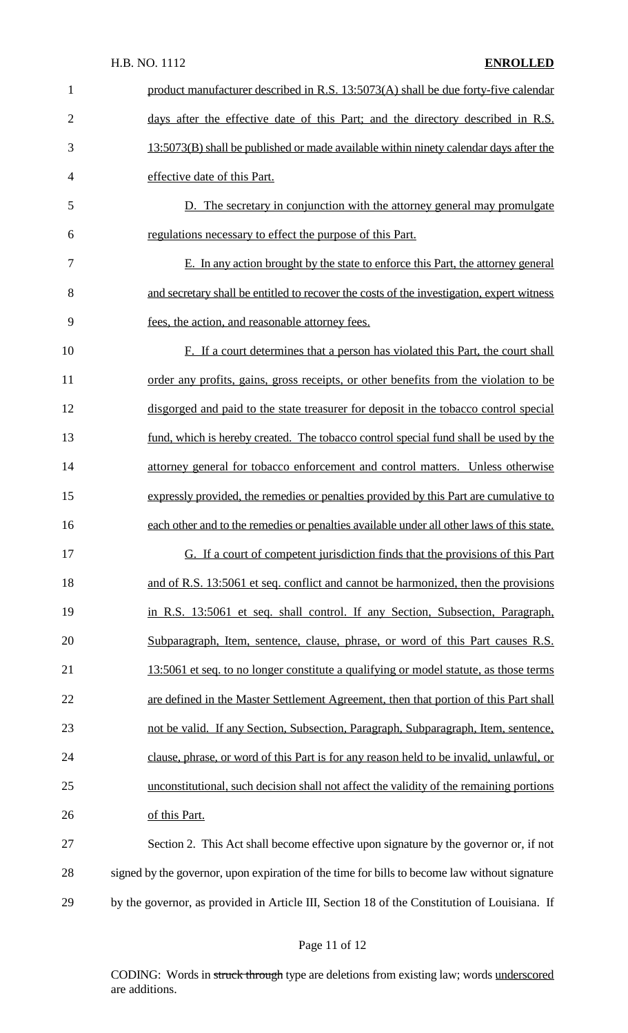#### H.B. NO. 1112 **ENROLLED**

| $\mathbf{1}$   | product manufacturer described in R.S. 13:5073(A) shall be due forty-five calendar            |
|----------------|-----------------------------------------------------------------------------------------------|
| $\overline{2}$ | days after the effective date of this Part; and the directory described in R.S.               |
| 3              | 13:5073(B) shall be published or made available within ninety calendar days after the         |
| $\overline{4}$ | effective date of this Part.                                                                  |
| 5              | D. The secretary in conjunction with the attorney general may promulgate                      |
| 6              | regulations necessary to effect the purpose of this Part.                                     |
| 7              | E. In any action brought by the state to enforce this Part, the attorney general              |
| 8              | and secretary shall be entitled to recover the costs of the investigation, expert witness     |
| 9              | fees, the action, and reasonable attorney fees.                                               |
| 10             | F. If a court determines that a person has violated this Part, the court shall                |
| 11             | order any profits, gains, gross receipts, or other benefits from the violation to be          |
| 12             | disgorged and paid to the state treasurer for deposit in the tobacco control special          |
| 13             | fund, which is hereby created. The tobacco control special fund shall be used by the          |
| 14             | attorney general for tobacco enforcement and control matters. Unless otherwise                |
| 15             | expressly provided, the remedies or penalties provided by this Part are cumulative to         |
| 16             | each other and to the remedies or penalties available under all other laws of this state.     |
| 17             | G. If a court of competent jurisdiction finds that the provisions of this Part                |
| 18             | and of R.S. 13:5061 et seq. conflict and cannot be harmonized, then the provisions            |
| 19             | in R.S. 13:5061 et seq. shall control. If any Section, Subsection, Paragraph,                 |
| 20             | Subparagraph, Item, sentence, clause, phrase, or word of this Part causes R.S.                |
| 21             | 13:5061 et seq. to no longer constitute a qualifying or model statute, as those terms         |
| 22             | are defined in the Master Settlement Agreement, then that portion of this Part shall          |
| 23             | not be valid. If any Section, Subsection, Paragraph, Subparagraph, Item, sentence,            |
| 24             | clause, phrase, or word of this Part is for any reason held to be invalid, unlawful, or       |
| 25             | unconstitutional, such decision shall not affect the validity of the remaining portions       |
| 26             | of this Part.                                                                                 |
| 27             | Section 2. This Act shall become effective upon signature by the governor or, if not          |
| 28             | signed by the governor, upon expiration of the time for bills to become law without signature |
| 29             | by the governor, as provided in Article III, Section 18 of the Constitution of Louisiana. If  |

# Page 11 of 12